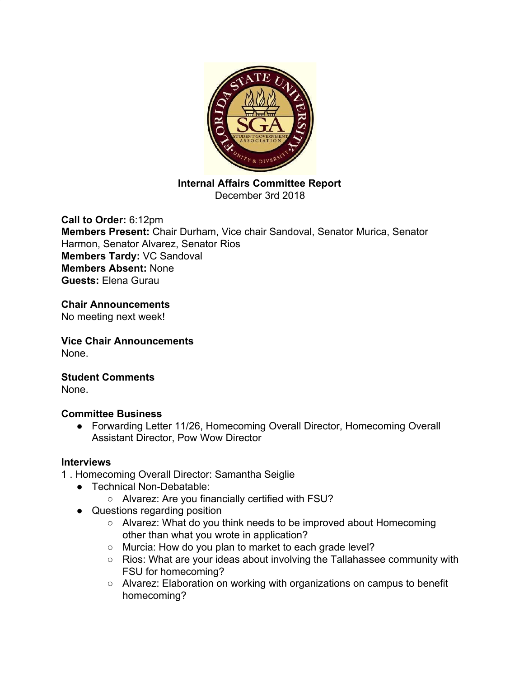

**Internal Affairs Committee Report** December 3rd 2018

**Call to Order:** 6:12pm **Members Present:** Chair Durham, Vice chair Sandoval, Senator Murica, Senator Harmon, Senator Alvarez, Senator Rios **Members Tardy:** VC Sandoval **Members Absent:** None **Guests:** Elena Gurau

**Chair Announcements** No meeting next week!

**Vice Chair Announcements** None.

**Student Comments** None.

# **Committee Business**

● Forwarding Letter 11/26, Homecoming Overall Director, Homecoming Overall Assistant Director, Pow Wow Director

# **Interviews**

1 . Homecoming Overall Director: Samantha Seiglie

- Technical Non-Debatable:
	- Alvarez: Are you financially certified with FSU?
- Questions regarding position
	- Alvarez: What do you think needs to be improved about Homecoming other than what you wrote in application?
	- Murcia: How do you plan to market to each grade level?
	- Rios: What are your ideas about involving the Tallahassee community with FSU for homecoming?
	- Alvarez: Elaboration on working with organizations on campus to benefit homecoming?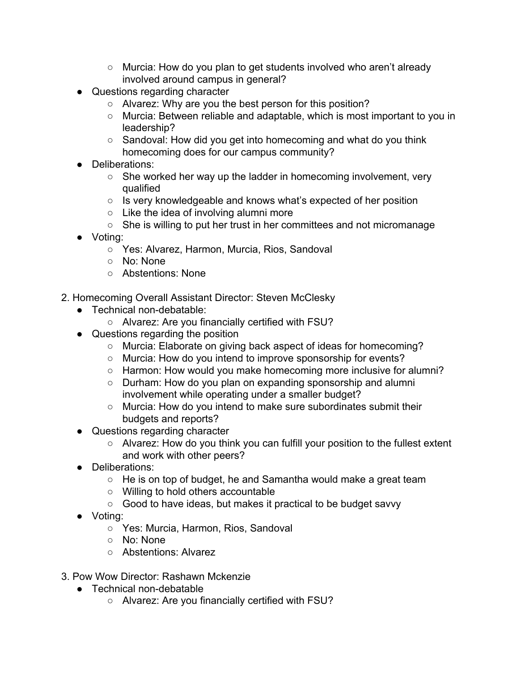- Murcia: How do you plan to get students involved who aren't already involved around campus in general?
- Questions regarding character
	- Alvarez: Why are you the best person for this position?
	- Murcia: Between reliable and adaptable, which is most important to you in leadership?
	- Sandoval: How did you get into homecoming and what do you think homecoming does for our campus community?
- Deliberations:
	- She worked her way up the ladder in homecoming involvement, very qualified
	- Is very knowledgeable and knows what's expected of her position
	- Like the idea of involving alumni more
	- She is willing to put her trust in her committees and not micromanage
- Voting:
	- Yes: Alvarez, Harmon, Murcia, Rios, Sandoval
	- No: None
	- Abstentions: None
- 2. Homecoming Overall Assistant Director: Steven McClesky
	- Technical non-debatable:
		- Alvarez: Are you financially certified with FSU?
	- Questions regarding the position
		- Murcia: Elaborate on giving back aspect of ideas for homecoming?
		- Murcia: How do you intend to improve sponsorship for events?
		- Harmon: How would you make homecoming more inclusive for alumni?
		- Durham: How do you plan on expanding sponsorship and alumni involvement while operating under a smaller budget?
		- Murcia: How do you intend to make sure subordinates submit their budgets and reports?
	- Questions regarding character
		- Alvarez: How do you think you can fulfill your position to the fullest extent and work with other peers?
	- Deliberations:
		- He is on top of budget, he and Samantha would make a great team
		- Willing to hold others accountable
		- Good to have ideas, but makes it practical to be budget savvy
	- Voting:
		- Yes: Murcia, Harmon, Rios, Sandoval
		- No: None
		- Abstentions: Alvarez
- 3. Pow Wow Director: Rashawn Mckenzie
	- Technical non-debatable
		- Alvarez: Are you financially certified with FSU?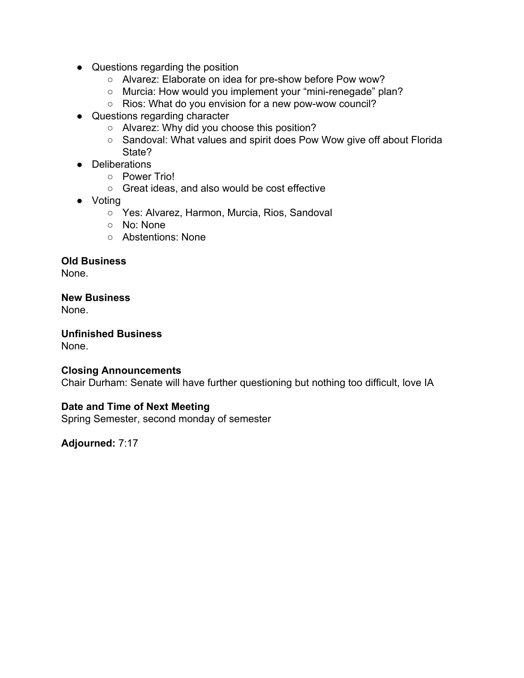- Questions regarding the position
	- Alvarez: Elaborate on idea for pre-show before Pow wow?
	- Murcia: How would you implement your "mini-renegade" plan?
	- Rios: What do you envision for a new pow-wow council?
- Questions regarding character
	- Alvarez: Why did you choose this position?
	- Sandoval: What values and spirit does Pow Wow give off about Florida State?
- Deliberations
	- Power Trio!
	- Great ideas, and also would be cost effective
- Voting
	- Yes: Alvarez, Harmon, Murcia, Rios, Sandoval
	- No: None
	- Abstentions: None

## **Old Business**

None.

### **New Business**

None.

**Unfinished Business** None.

### **Closing Announcements**

Chair Durham: Senate will have further questioning but nothing too difficult, love IA

# **Date and Time of Next Meeting**

Spring Semester, second monday of semester

**Adjourned:** 7:17